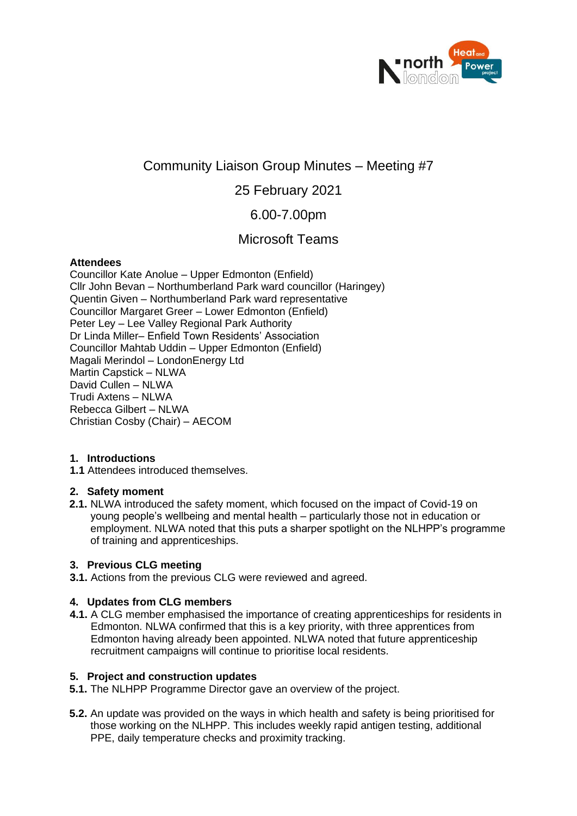

# Community Liaison Group Minutes – Meeting #7

## 25 February 2021

## 6.00-7.00pm

## Microsoft Teams

## **Attendees**

Councillor Kate Anolue – Upper Edmonton (Enfield) Cllr John Bevan – Northumberland Park ward councillor (Haringey) Quentin Given – Northumberland Park ward representative Councillor Margaret Greer – Lower Edmonton (Enfield) Peter Ley – Lee Valley Regional Park Authority Dr Linda Miller– Enfield Town Residents' Association Councillor Mahtab Uddin – Upper Edmonton (Enfield) Magali Merindol – LondonEnergy Ltd Martin Capstick – NLWA David Cullen – NLWA Trudi Axtens – NLWA Rebecca Gilbert – NLWA Christian Cosby (Chair) – AECOM

## **1. Introductions**

**1.1** Attendees introduced themselves.

#### **2. Safety moment**

**2.1.** NLWA introduced the safety moment, which focused on the impact of Covid-19 on young people's wellbeing and mental health – particularly those not in education or employment. NLWA noted that this puts a sharper spotlight on the NLHPP's programme of training and apprenticeships.

#### **3. Previous CLG meeting**

**3.1.** Actions from the previous CLG were reviewed and agreed.

## **4. Updates from CLG members**

**4.1.** A CLG member emphasised the importance of creating apprenticeships for residents in Edmonton. NLWA confirmed that this is a key priority, with three apprentices from Edmonton having already been appointed. NLWA noted that future apprenticeship recruitment campaigns will continue to prioritise local residents.

## **5. Project and construction updates**

- **5.1.** The NLHPP Programme Director gave an overview of the project.
- **5.2.** An update was provided on the ways in which health and safety is being prioritised for those working on the NLHPP. This includes weekly rapid antigen testing, additional PPE, daily temperature checks and proximity tracking.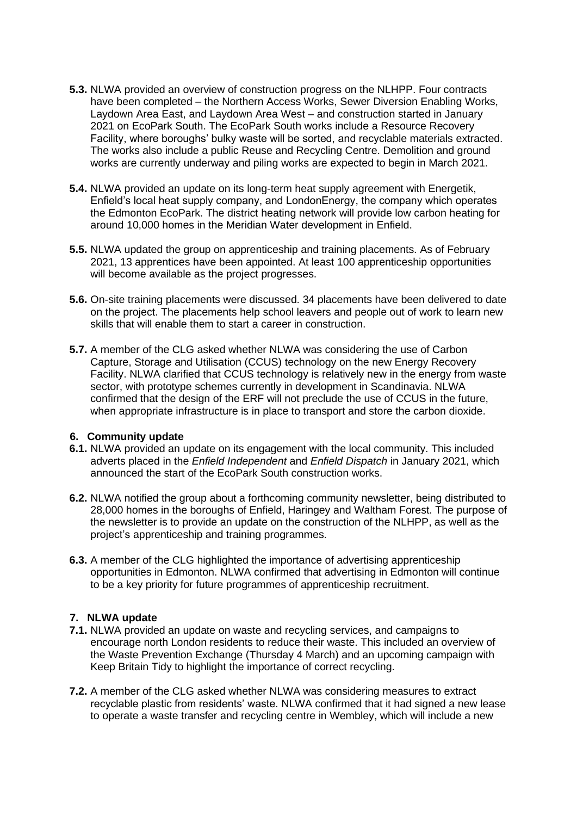- **5.3.** NLWA provided an overview of construction progress on the NLHPP. Four contracts have been completed – the Northern Access Works, Sewer Diversion Enabling Works, Laydown Area East, and Laydown Area West – and construction started in January 2021 on EcoPark South. The EcoPark South works include a Resource Recovery Facility, where boroughs' bulky waste will be sorted, and recyclable materials extracted. The works also include a public Reuse and Recycling Centre. Demolition and ground works are currently underway and piling works are expected to begin in March 2021.
- **5.4.** NLWA provided an update on its long-term heat supply agreement with Energetik, Enfield's local heat supply company, and LondonEnergy, the company which operates the Edmonton EcoPark. The district heating network will provide low carbon heating for around 10,000 homes in the Meridian Water development in Enfield.
- **5.5.** NLWA updated the group on apprenticeship and training placements. As of February 2021, 13 apprentices have been appointed. At least 100 apprenticeship opportunities will become available as the project progresses.
- **5.6.** On-site training placements were discussed. 34 placements have been delivered to date on the project. The placements help school leavers and people out of work to learn new skills that will enable them to start a career in construction.
- **5.7.** A member of the CLG asked whether NLWA was considering the use of Carbon Capture, Storage and Utilisation (CCUS) technology on the new Energy Recovery Facility. NLWA clarified that CCUS technology is relatively new in the energy from waste sector, with prototype schemes currently in development in Scandinavia. NLWA confirmed that the design of the ERF will not preclude the use of CCUS in the future, when appropriate infrastructure is in place to transport and store the carbon dioxide.

#### **6. Community update**

- **6.1.** NLWA provided an update on its engagement with the local community. This included adverts placed in the *Enfield Independent* and *Enfield Dispatch* in January 2021, which announced the start of the EcoPark South construction works.
- **6.2.** NLWA notified the group about a forthcoming community newsletter, being distributed to 28,000 homes in the boroughs of Enfield, Haringey and Waltham Forest. The purpose of the newsletter is to provide an update on the construction of the NLHPP, as well as the project's apprenticeship and training programmes.
- **6.3.** A member of the CLG highlighted the importance of advertising apprenticeship opportunities in Edmonton. NLWA confirmed that advertising in Edmonton will continue to be a key priority for future programmes of apprenticeship recruitment.

#### **7. NLWA update**

- **7.1.** NLWA provided an update on waste and recycling services, and campaigns to encourage north London residents to reduce their waste. This included an overview of the Waste Prevention Exchange (Thursday 4 March) and an upcoming campaign with Keep Britain Tidy to highlight the importance of correct recycling.
- **7.2.** A member of the CLG asked whether NLWA was considering measures to extract recyclable plastic from residents' waste. NLWA confirmed that it had signed a new lease to operate a waste transfer and recycling centre in Wembley, which will include a new